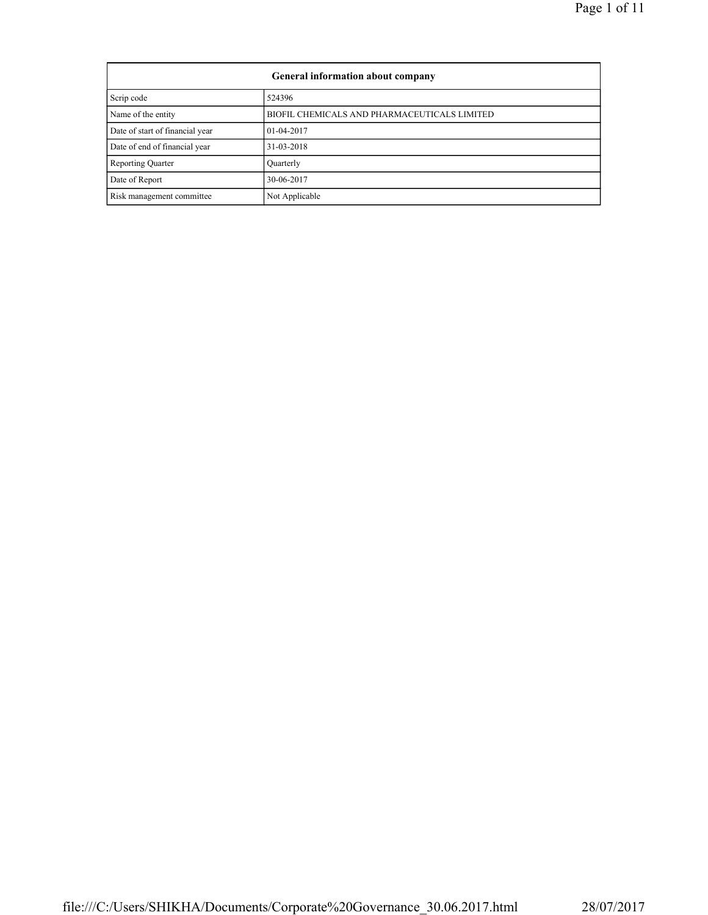| General information about company |                                              |  |  |  |
|-----------------------------------|----------------------------------------------|--|--|--|
| Scrip code                        | 524396                                       |  |  |  |
| Name of the entity                | BIOFIL CHEMICALS AND PHARMACEUTICALS LIMITED |  |  |  |
| Date of start of financial year   | 01-04-2017                                   |  |  |  |
| Date of end of financial year     | 31-03-2018                                   |  |  |  |
| <b>Reporting Quarter</b>          | Quarterly                                    |  |  |  |
| Date of Report                    | 30-06-2017                                   |  |  |  |
| Risk management committee         | Not Applicable                               |  |  |  |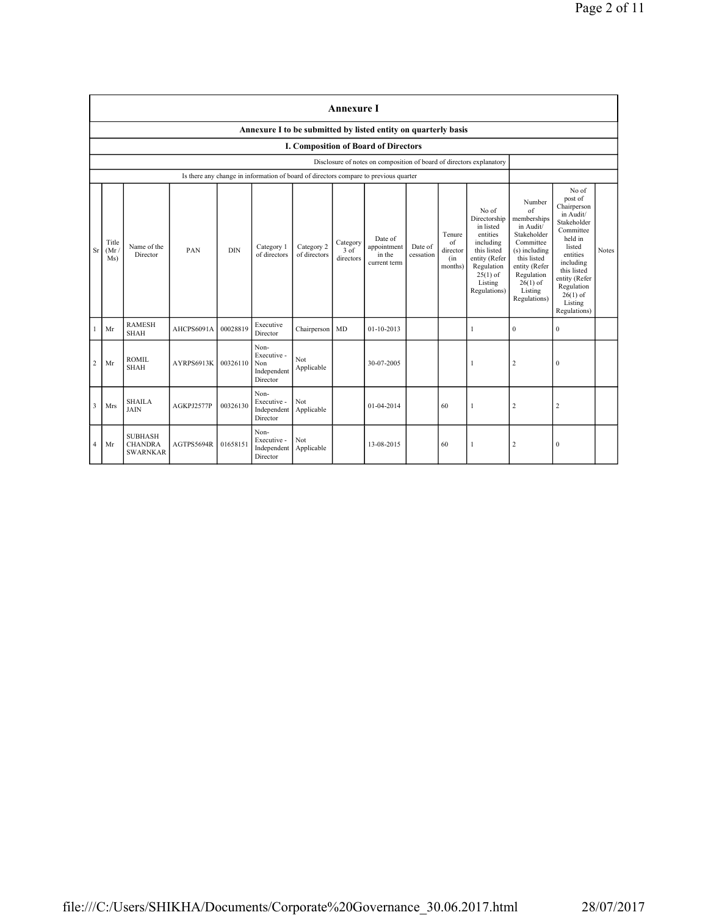|                         | <b>Annexure I</b>                                              |                                                     |            |            |                                                       |                            |                               |                                                                                      |                      |                                            |                                                                                                                                                    |                                                                                                                                                                              |                                                                                                                                                                                                               |              |
|-------------------------|----------------------------------------------------------------|-----------------------------------------------------|------------|------------|-------------------------------------------------------|----------------------------|-------------------------------|--------------------------------------------------------------------------------------|----------------------|--------------------------------------------|----------------------------------------------------------------------------------------------------------------------------------------------------|------------------------------------------------------------------------------------------------------------------------------------------------------------------------------|---------------------------------------------------------------------------------------------------------------------------------------------------------------------------------------------------------------|--------------|
|                         | Annexure I to be submitted by listed entity on quarterly basis |                                                     |            |            |                                                       |                            |                               |                                                                                      |                      |                                            |                                                                                                                                                    |                                                                                                                                                                              |                                                                                                                                                                                                               |              |
|                         | I. Composition of Board of Directors                           |                                                     |            |            |                                                       |                            |                               |                                                                                      |                      |                                            |                                                                                                                                                    |                                                                                                                                                                              |                                                                                                                                                                                                               |              |
|                         |                                                                |                                                     |            |            |                                                       |                            |                               | Disclosure of notes on composition of board of directors explanatory                 |                      |                                            |                                                                                                                                                    |                                                                                                                                                                              |                                                                                                                                                                                                               |              |
|                         |                                                                |                                                     |            |            |                                                       |                            |                               | Is there any change in information of board of directors compare to previous quarter |                      |                                            |                                                                                                                                                    |                                                                                                                                                                              |                                                                                                                                                                                                               |              |
| <b>Sr</b>               | Title<br>(Mr)<br>Ms)                                           | Name of the<br>Director                             | PAN        | <b>DIN</b> | Category 1<br>of directors                            | Category 2<br>of directors | Category<br>3 of<br>directors | Date of<br>appointment<br>in the<br>current term                                     | Date of<br>cessation | Tenure<br>of<br>director<br>(in<br>months) | No of<br>Directorship<br>in listed<br>entities<br>including<br>this listed<br>entity (Refer<br>Regulation<br>$25(1)$ of<br>Listing<br>Regulations) | Number<br>of<br>memberships<br>in Audit/<br>Stakeholder<br>Committee<br>(s) including<br>this listed<br>entity (Refer<br>Regulation<br>$26(1)$ of<br>Listing<br>Regulations) | No of<br>post of<br>Chairperson<br>in Audit/<br>Stakeholder<br>Committee<br>held in<br>listed<br>entities<br>including<br>this listed<br>entity (Refer<br>Regulation<br>$26(1)$ of<br>Listing<br>Regulations) | <b>Notes</b> |
| $\mathbf{1}$            | Mr                                                             | <b>RAMESH</b><br><b>SHAH</b>                        | AHCPS6091A | 00028819   | Executive<br>Director                                 | Chairperson MD             |                               | 01-10-2013                                                                           |                      |                                            | 1                                                                                                                                                  | $\mathbf{0}$                                                                                                                                                                 | $\overline{0}$                                                                                                                                                                                                |              |
| $\overline{2}$          | Mr                                                             | <b>ROMIL</b><br><b>SHAH</b>                         | AYRPS6913K | 00326110   | Non-<br>Executive -<br>Non<br>Independent<br>Director | Not<br>Applicable          |                               | 30-07-2005                                                                           |                      |                                            | 1                                                                                                                                                  | 2                                                                                                                                                                            | $\boldsymbol{0}$                                                                                                                                                                                              |              |
| $\overline{\mathbf{3}}$ | Mrs                                                            | <b>SHAILA</b><br>JAIN                               | AGKPJ2577P | 00326130   | Non-<br>Executive -<br>Independent<br>Director        | Not<br>Applicable          |                               | 01-04-2014                                                                           |                      | 60                                         | $\mathbf{1}$                                                                                                                                       | $\overline{c}$                                                                                                                                                               | 2                                                                                                                                                                                                             |              |
| $\overline{4}$          | Mr                                                             | <b>SUBHASH</b><br><b>CHANDRA</b><br><b>SWARNKAR</b> | AGTPS5694R | 01658151   | Non-<br>Executive -<br>Independent<br>Director        | Not<br>Applicable          |                               | 13-08-2015                                                                           |                      | 60                                         | 1                                                                                                                                                  | 2                                                                                                                                                                            | $\boldsymbol{0}$                                                                                                                                                                                              |              |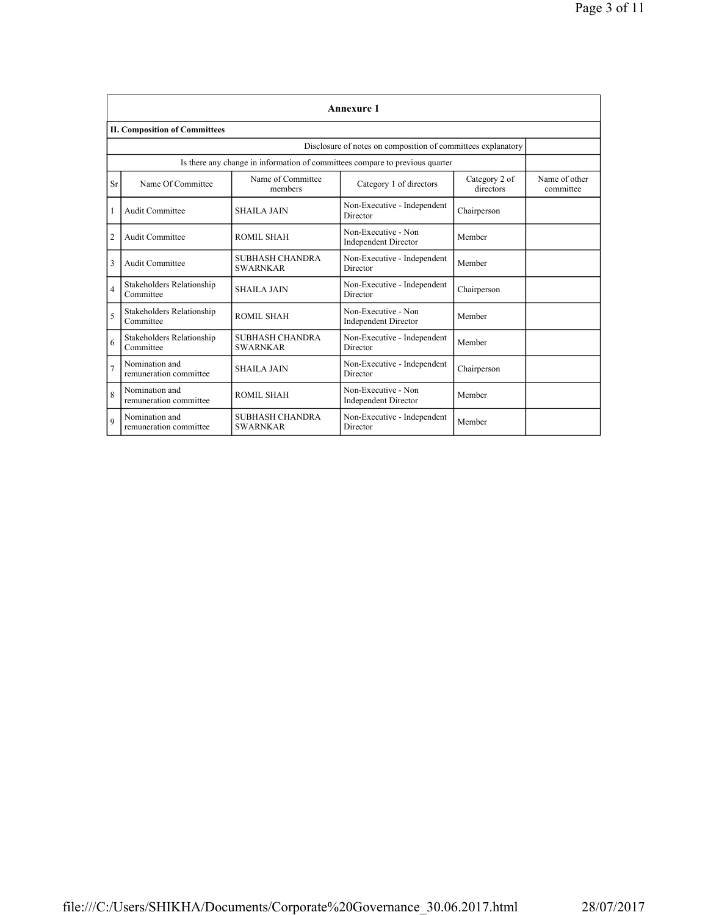|                | <b>Annexure 1</b>                             |                                           |                                                                              |                            |                            |  |
|----------------|-----------------------------------------------|-------------------------------------------|------------------------------------------------------------------------------|----------------------------|----------------------------|--|
|                | <b>II. Composition of Committees</b>          |                                           |                                                                              |                            |                            |  |
|                |                                               |                                           | Disclosure of notes on composition of committees explanatory                 |                            |                            |  |
|                |                                               |                                           | Is there any change in information of committees compare to previous quarter |                            |                            |  |
| <b>Sr</b>      | Name Of Committee                             | Name of Committee<br>members              | Category 1 of directors                                                      | Category 2 of<br>directors | Name of other<br>committee |  |
|                | <b>Audit Committee</b>                        | <b>SHAILA JAIN</b>                        | Non-Executive - Independent<br>Director                                      | Chairperson                |                            |  |
| $\overline{2}$ | <b>Audit Committee</b>                        | ROMIL SHAH                                | Non-Executive - Non<br><b>Independent Director</b>                           | Member                     |                            |  |
| 3              | Audit Committee                               | SUBHASH CHANDRA<br><b>SWARNKAR</b>        | Non-Executive - Independent<br>Director                                      | Member                     |                            |  |
| $\overline{4}$ | <b>Stakeholders Relationship</b><br>Committee | <b>SHAILA JAIN</b>                        | Non-Executive - Independent<br>Director                                      | Chairperson                |                            |  |
| 5              | Stakeholders Relationship<br>Committee        | ROMIL SHAH                                | Non-Executive - Non<br><b>Independent Director</b>                           | Member                     |                            |  |
| 6              | Stakeholders Relationship<br>Committee        | <b>SUBHASH CHANDRA</b><br><b>SWARNKAR</b> | Non-Executive - Independent<br>Director                                      | Member                     |                            |  |
| $\overline{7}$ | Nomination and<br>remuneration committee      | <b>SHAILA JAIN</b>                        | Non-Executive - Independent<br>Director                                      | Chairperson                |                            |  |
| 8              | Nomination and<br>remuneration committee      | ROMIL SHAH                                | Non-Executive - Non<br><b>Independent Director</b>                           | Member                     |                            |  |
| $\mathbf Q$    | Nomination and<br>remuneration committee      | SUBHASH CHANDRA<br><b>SWARNKAR</b>        | Non-Executive - Independent<br>Director                                      | Member                     |                            |  |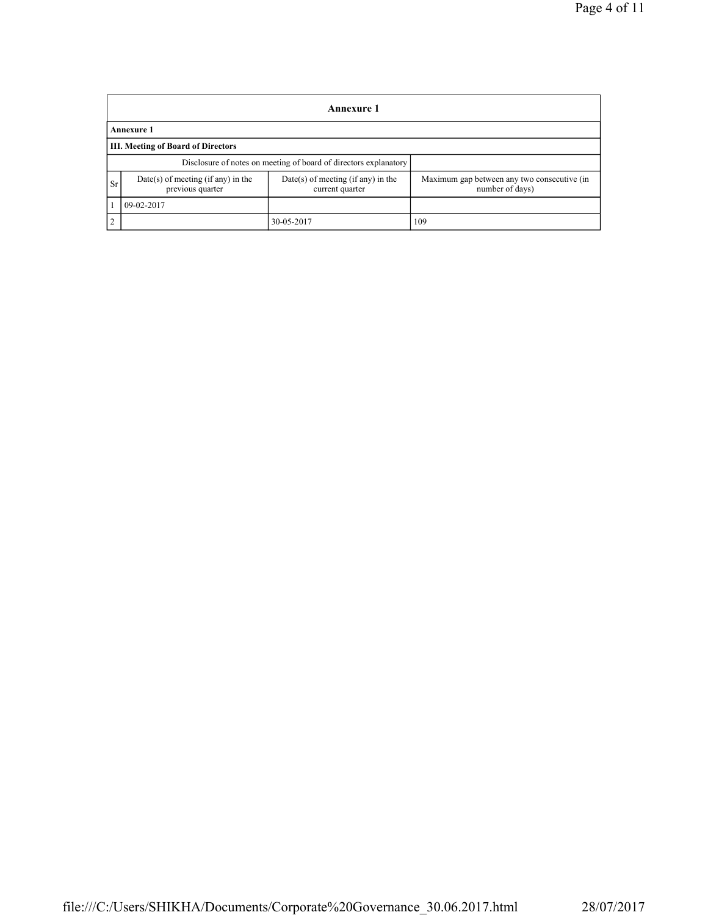|                | <b>Annexure 1</b>                                                |                                                       |                                                                |  |  |  |  |
|----------------|------------------------------------------------------------------|-------------------------------------------------------|----------------------------------------------------------------|--|--|--|--|
|                | <b>Annexure 1</b>                                                |                                                       |                                                                |  |  |  |  |
|                | III. Meeting of Board of Directors                               |                                                       |                                                                |  |  |  |  |
|                | Disclosure of notes on meeting of board of directors explanatory |                                                       |                                                                |  |  |  |  |
| <b>Sr</b>      | Date(s) of meeting (if any) in the<br>previous quarter           | Date(s) of meeting (if any) in the<br>current quarter | Maximum gap between any two consecutive (in<br>number of days) |  |  |  |  |
|                | 09-02-2017                                                       |                                                       |                                                                |  |  |  |  |
| $\overline{2}$ |                                                                  | 30-05-2017                                            | 109                                                            |  |  |  |  |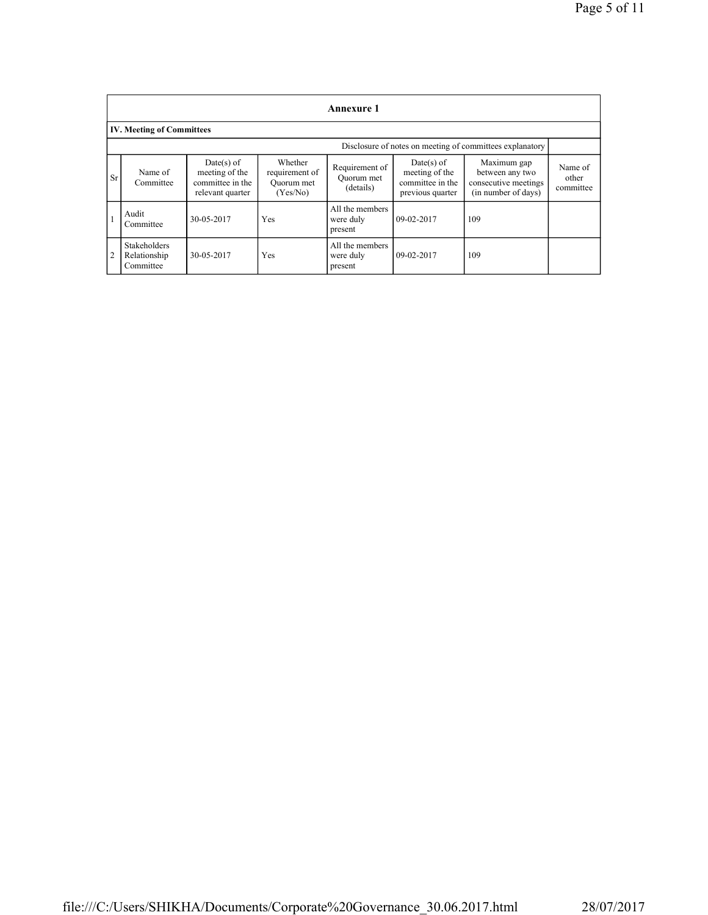|                | <b>Annexure 1</b>                                        |                                                                        |                                                     |                                           |                                                                      |                                                                               |                               |  |
|----------------|----------------------------------------------------------|------------------------------------------------------------------------|-----------------------------------------------------|-------------------------------------------|----------------------------------------------------------------------|-------------------------------------------------------------------------------|-------------------------------|--|
|                | <b>IV. Meeting of Committees</b>                         |                                                                        |                                                     |                                           |                                                                      |                                                                               |                               |  |
|                | Disclosure of notes on meeting of committees explanatory |                                                                        |                                                     |                                           |                                                                      |                                                                               |                               |  |
| <b>Sr</b>      | Name of<br>Committee                                     | $Date(s)$ of<br>meeting of the<br>committee in the<br>relevant quarter | Whether<br>requirement of<br>Quorum met<br>(Yes/No) | Requirement of<br>Ouorum met<br>(details) | Date(s) of<br>meeting of the<br>committee in the<br>previous quarter | Maximum gap<br>between any two<br>consecutive meetings<br>(in number of days) | Name of<br>other<br>committee |  |
|                | Audit<br>Committee                                       | 30-05-2017                                                             | Yes                                                 | All the members<br>were duly<br>present   | $09-02-2017$                                                         | 109                                                                           |                               |  |
| $\overline{2}$ | <b>Stakeholders</b><br>Relationship<br>Committee         | 30-05-2017                                                             | Yes                                                 | All the members<br>were duly<br>present   | $09-02-2017$                                                         | 109                                                                           |                               |  |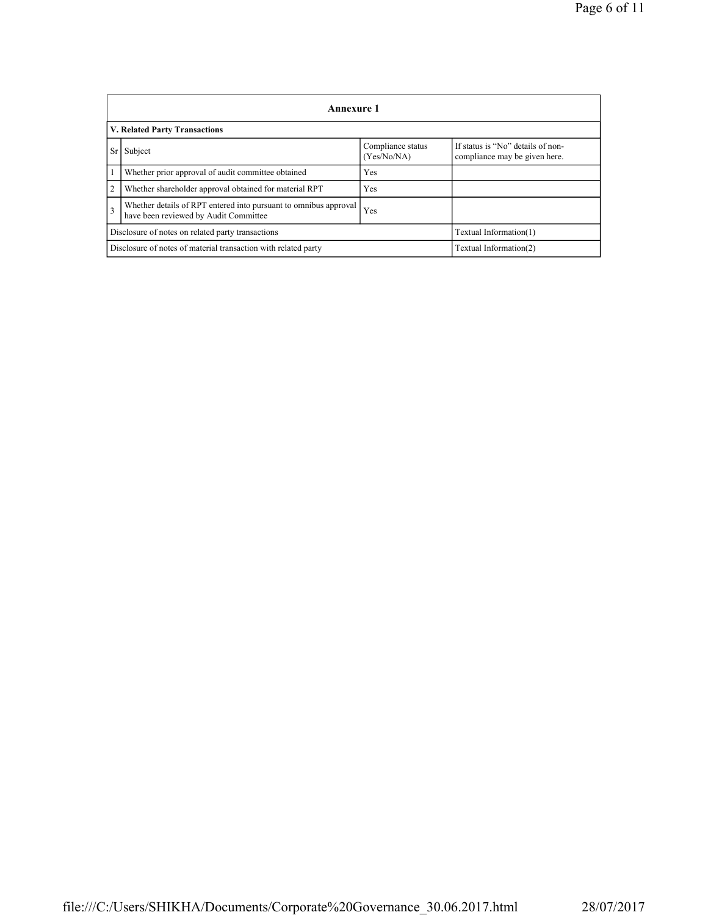|                                                               | <b>Annexure 1</b>                                                                                         |                                  |                                                                    |  |  |  |
|---------------------------------------------------------------|-----------------------------------------------------------------------------------------------------------|----------------------------------|--------------------------------------------------------------------|--|--|--|
|                                                               | V. Related Party Transactions                                                                             |                                  |                                                                    |  |  |  |
| Sr                                                            | Subject                                                                                                   | Compliance status<br>(Yes/No/NA) | If status is "No" details of non-<br>compliance may be given here. |  |  |  |
| l 1                                                           | Whether prior approval of audit committee obtained                                                        | Yes                              |                                                                    |  |  |  |
| 2 ا<br>Whether shareholder approval obtained for material RPT |                                                                                                           | Yes                              |                                                                    |  |  |  |
| $\overline{3}$                                                | Whether details of RPT entered into pursuant to omnibus approval<br>have been reviewed by Audit Committee | Yes                              |                                                                    |  |  |  |
|                                                               | Disclosure of notes on related party transactions<br>Textual Information(1)                               |                                  |                                                                    |  |  |  |
|                                                               | Disclosure of notes of material transaction with related party<br>Textual Information(2)                  |                                  |                                                                    |  |  |  |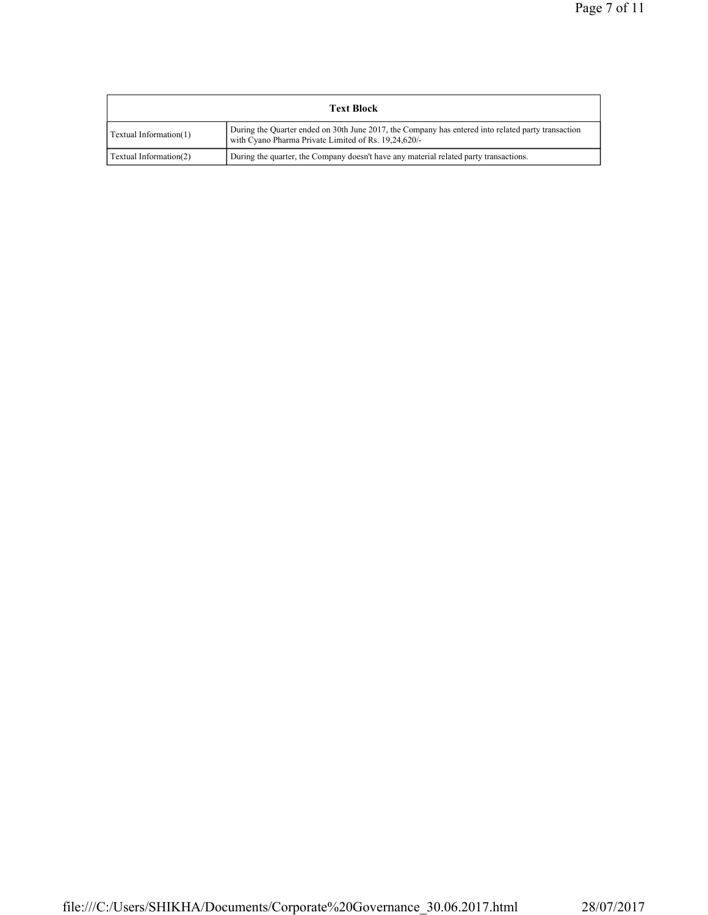| <b>Text Block</b>      |                                                                                                                                                            |  |  |  |
|------------------------|------------------------------------------------------------------------------------------------------------------------------------------------------------|--|--|--|
| Textual Information(1) | During the Quarter ended on 30th June 2017, the Company has entered into related party transaction<br>with Cyano Pharma Private Limited of Rs. 19,24,620/- |  |  |  |
| Textual Information(2) | During the quarter, the Company doesn't have any material related party transactions.                                                                      |  |  |  |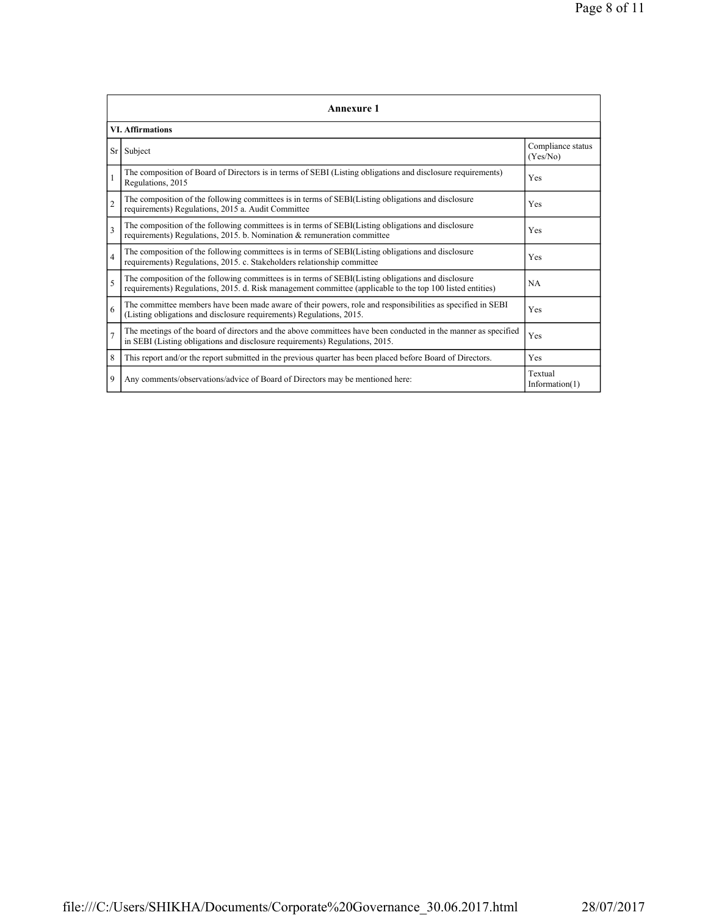|                | <b>Annexure 1</b>                                                                                                                                                                                               |                               |  |  |  |
|----------------|-----------------------------------------------------------------------------------------------------------------------------------------------------------------------------------------------------------------|-------------------------------|--|--|--|
|                | <b>VI.</b> Affirmations                                                                                                                                                                                         |                               |  |  |  |
| Sr             | Subject                                                                                                                                                                                                         | Compliance status<br>(Yes/No) |  |  |  |
| $\mathbf{1}$   | The composition of Board of Directors is in terms of SEBI (Listing obligations and disclosure requirements)<br>Regulations, 2015                                                                                | Yes                           |  |  |  |
| $\overline{2}$ | The composition of the following committees is in terms of SEBI(Listing obligations and disclosure<br>requirements) Regulations, 2015 a. Audit Committee                                                        | Yes                           |  |  |  |
| $\overline{3}$ | The composition of the following committees is in terms of SEBI(Listing obligations and disclosure<br>requirements) Regulations, 2015. b. Nomination & remuneration committee                                   | Yes                           |  |  |  |
| $\overline{4}$ | The composition of the following committees is in terms of SEBI(Listing obligations and disclosure<br>requirements) Regulations, 2015. c. Stakeholders relationship committee                                   | Yes                           |  |  |  |
| 5              | The composition of the following committees is in terms of SEBI(Listing obligations and disclosure<br>requirements) Regulations, 2015. d. Risk management committee (applicable to the top 100 listed entities) | <b>NA</b>                     |  |  |  |
| 6              | The committee members have been made aware of their powers, role and responsibilities as specified in SEBI<br>(Listing obligations and disclosure requirements) Regulations, 2015.                              | Yes                           |  |  |  |
| $\overline{7}$ | The meetings of the board of directors and the above committees have been conducted in the manner as specified<br>in SEBI (Listing obligations and disclosure requirements) Regulations, 2015.                  | Yes                           |  |  |  |
| 8              | This report and/or the report submitted in the previous quarter has been placed before Board of Directors.                                                                                                      | <b>Yes</b>                    |  |  |  |
| 9              | Any comments/observations/advice of Board of Directors may be mentioned here:                                                                                                                                   | Textual<br>Information $(1)$  |  |  |  |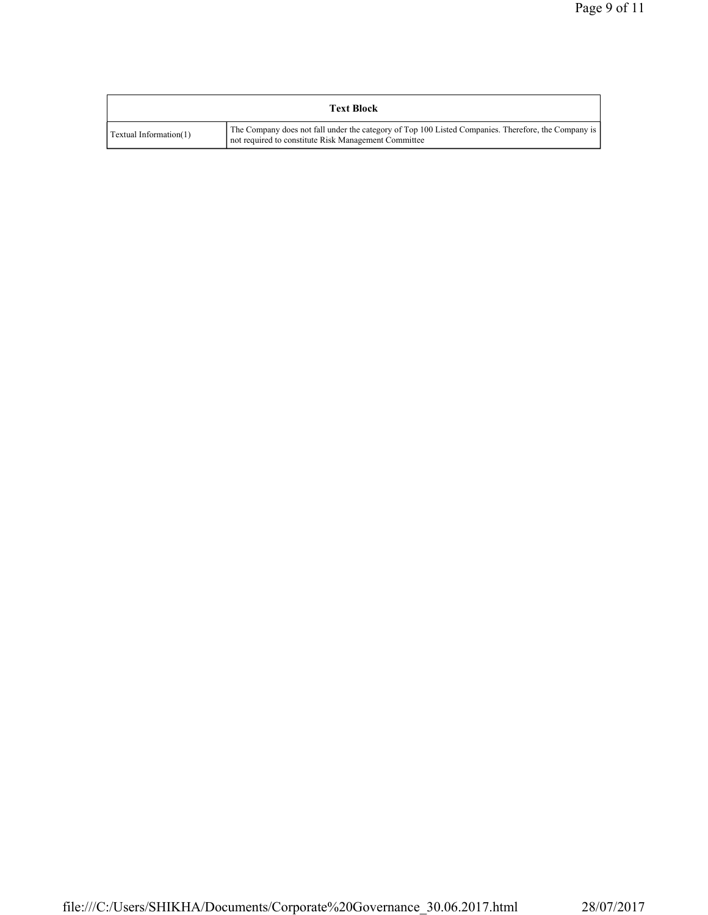| <b>Text Block</b>      |                                                                                                                                                             |  |
|------------------------|-------------------------------------------------------------------------------------------------------------------------------------------------------------|--|
| Textual Information(1) | The Company does not fall under the category of Top 100 Listed Companies. Therefore, the Company is<br>not required to constitute Risk Management Committee |  |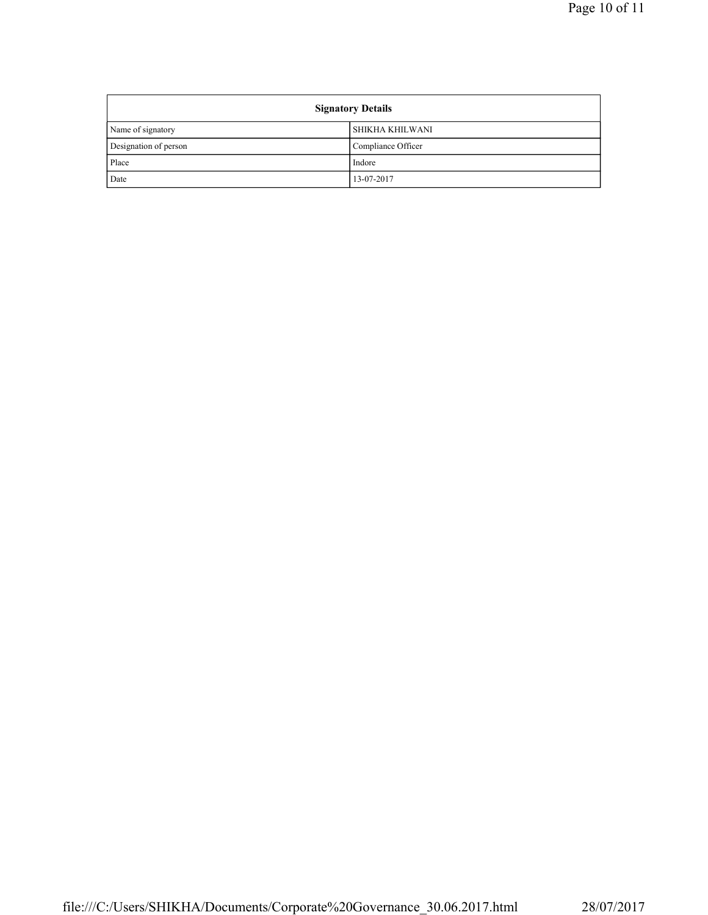| <b>Signatory Details</b> |                    |  |
|--------------------------|--------------------|--|
| Name of signatory        | SHIKHA KHILWANI    |  |
| Designation of person    | Compliance Officer |  |
| Place                    | Indore             |  |
| Date                     | 13-07-2017         |  |